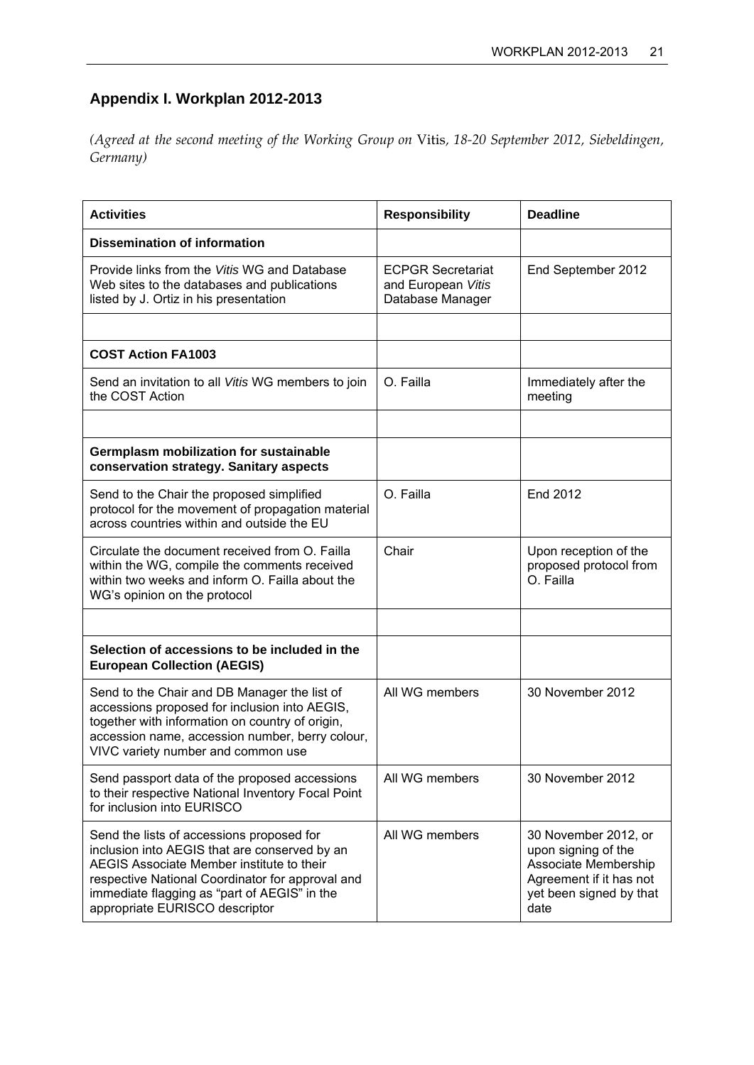## **Appendix I. Workplan 2012-2013**

*(Agreed at the second meeting of the Working Group on* Vitis*, 18-20 September 2012, Siebeldingen, Germany)* 

| <b>Activities</b>                                                                                                                                                                                                                                                             | <b>Responsibility</b>                                              | <b>Deadline</b>                                                                                                                   |
|-------------------------------------------------------------------------------------------------------------------------------------------------------------------------------------------------------------------------------------------------------------------------------|--------------------------------------------------------------------|-----------------------------------------------------------------------------------------------------------------------------------|
| <b>Dissemination of information</b>                                                                                                                                                                                                                                           |                                                                    |                                                                                                                                   |
| Provide links from the Vitis WG and Database<br>Web sites to the databases and publications<br>listed by J. Ortiz in his presentation                                                                                                                                         | <b>ECPGR Secretariat</b><br>and European Vitis<br>Database Manager | End September 2012                                                                                                                |
|                                                                                                                                                                                                                                                                               |                                                                    |                                                                                                                                   |
| <b>COST Action FA1003</b>                                                                                                                                                                                                                                                     |                                                                    |                                                                                                                                   |
| Send an invitation to all Vitis WG members to join<br>the COST Action                                                                                                                                                                                                         | O. Failla                                                          | Immediately after the<br>meeting                                                                                                  |
|                                                                                                                                                                                                                                                                               |                                                                    |                                                                                                                                   |
| <b>Germplasm mobilization for sustainable</b><br>conservation strategy. Sanitary aspects                                                                                                                                                                                      |                                                                    |                                                                                                                                   |
| Send to the Chair the proposed simplified<br>protocol for the movement of propagation material<br>across countries within and outside the EU                                                                                                                                  | O. Failla                                                          | End 2012                                                                                                                          |
| Circulate the document received from O. Failla<br>within the WG, compile the comments received<br>within two weeks and inform O. Failla about the<br>WG's opinion on the protocol                                                                                             | Chair                                                              | Upon reception of the<br>proposed protocol from<br>O. Failla                                                                      |
|                                                                                                                                                                                                                                                                               |                                                                    |                                                                                                                                   |
| Selection of accessions to be included in the<br><b>European Collection (AEGIS)</b>                                                                                                                                                                                           |                                                                    |                                                                                                                                   |
| Send to the Chair and DB Manager the list of<br>accessions proposed for inclusion into AEGIS,<br>together with information on country of origin,<br>accession name, accession number, berry colour,<br>VIVC variety number and common use                                     | All WG members                                                     | 30 November 2012                                                                                                                  |
| Send passport data of the proposed accessions<br>to their respective National Inventory Focal Point<br>for inclusion into EURISCO                                                                                                                                             | All WG members                                                     | 30 November 2012                                                                                                                  |
| Send the lists of accessions proposed for<br>inclusion into AEGIS that are conserved by an<br>AEGIS Associate Member institute to their<br>respective National Coordinator for approval and<br>immediate flagging as "part of AEGIS" in the<br>appropriate EURISCO descriptor | All WG members                                                     | 30 November 2012, or<br>upon signing of the<br>Associate Membership<br>Agreement if it has not<br>yet been signed by that<br>date |